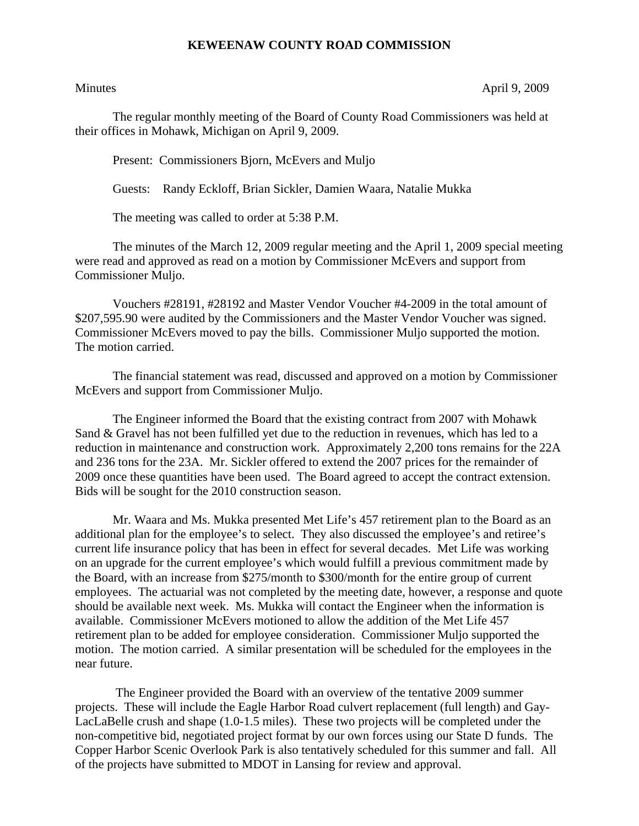## **KEWEENAW COUNTY ROAD COMMISSION**

Minutes April 9, 2009

The regular monthly meeting of the Board of County Road Commissioners was held at their offices in Mohawk, Michigan on April 9, 2009.

Present: Commissioners Bjorn, McEvers and Muljo

Guests: Randy Eckloff, Brian Sickler, Damien Waara, Natalie Mukka

The meeting was called to order at 5:38 P.M.

 The minutes of the March 12, 2009 regular meeting and the April 1, 2009 special meeting were read and approved as read on a motion by Commissioner McEvers and support from Commissioner Muljo.

 Vouchers #28191, #28192 and Master Vendor Voucher #4-2009 in the total amount of \$207,595.90 were audited by the Commissioners and the Master Vendor Voucher was signed. Commissioner McEvers moved to pay the bills. Commissioner Muljo supported the motion. The motion carried.

 The financial statement was read, discussed and approved on a motion by Commissioner McEvers and support from Commissioner Muljo.

 The Engineer informed the Board that the existing contract from 2007 with Mohawk Sand & Gravel has not been fulfilled yet due to the reduction in revenues, which has led to a reduction in maintenance and construction work. Approximately 2,200 tons remains for the 22A and 236 tons for the 23A. Mr. Sickler offered to extend the 2007 prices for the remainder of 2009 once these quantities have been used. The Board agreed to accept the contract extension. Bids will be sought for the 2010 construction season.

 Mr. Waara and Ms. Mukka presented Met Life's 457 retirement plan to the Board as an additional plan for the employee's to select. They also discussed the employee's and retiree's current life insurance policy that has been in effect for several decades. Met Life was working on an upgrade for the current employee's which would fulfill a previous commitment made by the Board, with an increase from \$275/month to \$300/month for the entire group of current employees. The actuarial was not completed by the meeting date, however, a response and quote should be available next week. Ms. Mukka will contact the Engineer when the information is available. Commissioner McEvers motioned to allow the addition of the Met Life 457 retirement plan to be added for employee consideration. Commissioner Muljo supported the motion. The motion carried. A similar presentation will be scheduled for the employees in the near future.

 The Engineer provided the Board with an overview of the tentative 2009 summer projects. These will include the Eagle Harbor Road culvert replacement (full length) and Gay-LacLaBelle crush and shape (1.0-1.5 miles). These two projects will be completed under the non-competitive bid, negotiated project format by our own forces using our State D funds. The Copper Harbor Scenic Overlook Park is also tentatively scheduled for this summer and fall. All of the projects have submitted to MDOT in Lansing for review and approval.